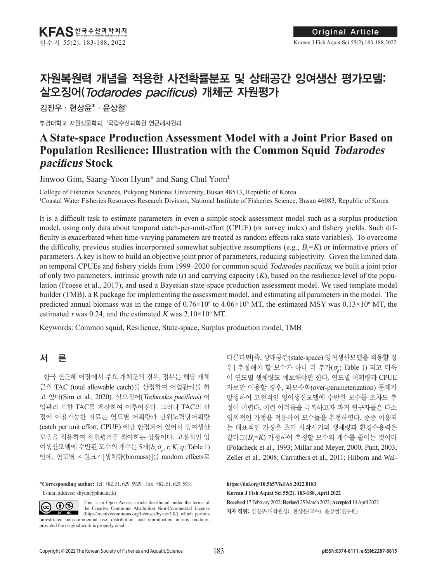# 자원복원력 개념을 적용한 사전확률분포 및 상태공간 잉여생산 평가모델: 살오징어(Todarodes pacificus) 개체군 자원평가

김진우·현상윤\*·윤상철1

부경대학교 자원생물학과, 1 국립수산과학원 연근해자원과

# **A State-space Production Assessment Model with a Joint Prior Based on Population Resilience: Illustration with the Common Squid Todarodes pacificus Stock**

Jinwoo Gim, Saang-Yoon Hyun\* and Sang Chul Yoon1

College of Fisheries Sciences, Pukyong National University, Busan 48513, Republic of Korea 1 Coastal Water Fisheries Resources Research Division, National Institute of Fisheries Science, Busan 46083, Republic of Korea

It is a difficult task to estimate parameters in even a simple stock assessment model such as a surplus production model, using only data about temporal catch-per-unit-effort (CPUE) (or survey index) and fishery yields. Such difficulty is exacerbated when time-varying parameters are treated as random effects (aka state variables). To overcome the difficulty, previous studies incorporated somewhat subjective assumptions (e.g.,  $B_1 = K$ ) or informative priors of parameters. A key is how to build an objective joint prior of parameters, reducing subjectivity. Given the limited data on temporal CPUEs and fishery yields from 1999–2020 for common squid Todarodes pacificus, we built a joint prior of only two parameters, intrinsic growth rate  $(r)$  and carrying capacity  $(K)$ , based on the resilience level of the population (Froese et al., 2017), and used a Bayesian state-space production assessment model. We used template model builder (TMB), a R package for implementing the assessment model, and estimating all parameters in the model. The predicted annual biomass was in the range of  $0.76 \times 10^6$  to  $4.06 \times 10^6$  MT, the estimated MSY was  $0.13 \times 10^6$  MT, the estimated r was 0.24, and the estimated K was  $2.10 \times 10^6$  MT.

Keywords: Common squid, Resilience, State-space, Surplus production model, TMB

# 서 론

한국 연근해 어장에서 주요 개체군의 경우, 정부는 해당 개체 군의 TAC (total allowable catch)를 산정하여 어업관리를 하 고 있다(Sim et al., 2020). 살오징어(Todarodes pacificus) 어 업관리 또한 TAC를 계산하여 이루어진다. 그러나 TAC의 산 정에 이용가능한 자료는 연도별 어획량과 단위노력당어획량 (catch per unit effort, CPUE) 에만 한정되어 있어서 잉여생산 모델을 적용하여 자원평가를 해야하는 상황이다. 고전적인 잉 여생산모델에 수반된 모수의 개수는 5개( $b$ ,  $\sigma_{o}$ ,  $r$ ,  $K$ ,  $q$ ; Table 1) 인데, 연도별 자원크기[생체량(biomass)]를 random effects로

\***Corresponding author:** Tel: +82. 51. 629. 5929 Fax: +82. 51. 629. 5931 E-mail address: shyun@pknu.ac.kr

 $\odot\otimes$  $\left(\mathrm{cc}\right)$ BY NC

This is an Open Access article distributed under the terms of the Creative Commons Attribution Non-Commercial License (http://creativecommons.org/licenses/by-nc/3.0/) which permits unrestricted non-commercial use, distribution, and reproduction in any medium, provided the original work is properly cited.

다룬다면[즉, 상태공간(state-space) 잉여생산모델을 적용할 경 우] 추정해야 할 모수가 하나 더 추가( $\sigma_{\!{}_p}$ ; Table 1) 되고 더욱 이 연도별 생체량도 예보해야만 한다. 연도별 어획량과 CPUE 자료만 이용할 경우, 과모수화(over-parameterization) 문제가 발생하여 고전적인 잉여생산모델에 수반한 모수들 조차도 추 정이 어렵다. 이런 어려움을 극복하고자 과거 연구자들은 다소 임의적인 가정을 적용하여 모수들을 추정하였다. 종종 이용되 는 대표적인 가정은 초기 시작시기의 생체량과 환경수용력은 같다고( $B_{\rm l}$ =K) 가정하여 추정할 모수의 개수를 줄이는 것이다 (Polacheck et al., 1993; Millar and Meyer, 2000; Punt, 2003; Zeller et al., 2008; Carruthers et al., 2011; Hilborn and Wal-

# **Received** 17 February 2022; **Revised** 25 March 2022; **Accepted** 14 April 2022 저자 직위: 김진우(대학원생), 현상윤(교수), 윤상철(연구관) **https://doi.org/10.5657/KFAS.2022.0183 Korean J Fish Aquat Sci 55(2), 183-188, April 2022**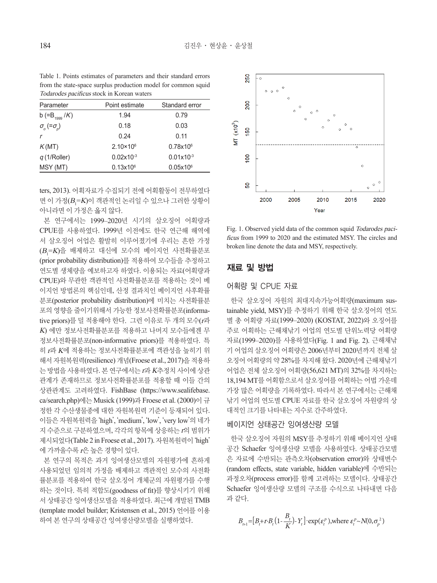Table 1. Points estimates of parameters and their standard errors from the state-space surplus production model for common squid Todarodes pacificus stock in Korean waters

| Parameter                              | Point estimate       | Standard error |
|----------------------------------------|----------------------|----------------|
| b (= $B_{1999}$ /K)                    | 1.94                 | 0.79           |
| $\sigma_{\rm o}$ (= $\sigma_{\rm o}$ ) | 0.18                 | 0.03           |
| $\mathsf{r}$                           | 0.24                 | 0.11           |
| K(MT)                                  | $2.10 \times 10^{6}$ | $0.78x10^{6}$  |
| q(1/Roller)                            | $0.02x10^{-3}$       | $0.01x10^{-3}$ |
| MSY (MT)                               | $0.13x10^6$          | $0.05x10^{6}$  |

ters, 2013). 어획자료가 수집되기 전에 어획활동이 전무하였다 면 이 가정 $(B_1=K)$ 이 객관적인 논리일 수 있으나 그러한 상황이 아니라면 이 가정은 옳지 않다.

본 연구에서는 1999–2020년 시기의 살오징어 어획량과 CPUE를 사용하였다. 1999년 이전에도 한국 연근해 해역에 서 살오징어 어업은 활발히 이루어졌기에 우리는 흔한 가정  $(B_{\scriptscriptstyle{\text{I}}}=$ K)을 배제하고 대신에 모수의 베이지언 사전확률분포 (prior probability distribution)를 적용하여 모수들을 추정하고 연도별 생체량을 예보하고자 하였다. 이용되는 자료(어획량과 CPUE)와 무관한 객관적인 사전확률분포를 적용하는 것이 베 이지언 방법론의 핵심인데, 산정 결과치인 베이지언 사후확률 분포(posterior probability distribution)에 미치는 사전확률분 포의 영향을 줄이기위해서 가능한 정보사전확률분포(informative priors)를 덜 적용해야 한다. 그런 이유로 두 개의 모수(r과  $K$ ) 에만 정보사전확률분포를 적용하고 나머지 모수들에겐 무 정보사전확률분포(non-informative priors)를 적용하였다. 특 히 <sup>r</sup>과 K에 적용하는 정보사전확률분포에 객관성을 높히기 위 해서 자원복원력(resilience) 개념(Froese et al., 2017)을 적용하 는 방법을 사용하였다. 본 연구에서는 r과 <sup>K</sup>추정치 사이에 상관 관계가 존재하므로 정보사전확률분포를 적용할 때 이들 간의 상관관계도 고려하였다. FishBase (https://www.sealifebase. ca/search.php)에는 Musick (1999)과 Froese et al. (2000)이 규 정한 각 수산생물종에 대한 자원복원력 기준이 등재되어 있다. 이들은 자원복원력을 'high', 'medium', 'low', 'very low'의 네가 지 수준으로 구분하였으며, 각각의 항목에 상응하는 r의 범위가 제시되었다(Table 2 in Froese et al., 2017). 자원복원력이 'high' 에 가까울수록 r은 높은 경향이 있다.

본 연구의 목적은 과거 잉여생산모델의 자원평가에 흔하게 사용되었던 임의적 가정을 배제하고 객관적인 모수의 사전확 률분포를 적용하여 한국 살오징어 개체군의 자원평가를 수행 하는 것이다. 특히 적합도(goodness of fit)를 향상시키기 위해 서 상태공간 잉여생산모델을 적용하였다. 최근에 개발된 TMB (template model builder; Kristensen et al., 2015) 언어를 이용 하여 본 연구의 상태공간 잉여생산량모델을 실행하였다.



Fig. 1. Observed yield data of the common squid Todarodes pacificus from 1999 to 2020 and the estimated MSY. The circles and broken line denote the data and MSY, respectively.

# 재료 및 방법

# 어획량 및 CPUE 자료

한국 살오징어 자원의 최대지속가능어획량(maximum sustainable yield, MSY)를 추정하기 위해 한국 살오징어의 연도 별 총 어획량 자료(1999–2020) (KOSTAT, 2022)와 오징어를 주로 어획하는 근해채낚기 어업의 연도별 단위노력당 어획량 자료(1999–2020)를 사용하였다(Fig. 1 and Fig. 2). 근해채낚 기 어업의 살오징어 어획량은 2006년부터 2020년까지 전체 살 오징어 어획량의 약 28%를 차지해 왔다. 2020년에 근해채낚기 어업은 전체 살오징어 어획량(56,621 MT)의 32%를 차지하는 18,194 MT를 어획함으로서 살오징어를 어획하는 어법 가운데 가장 많은 어획량을 기록하였다. 따라서 본 연구에서는 근해채 낚기 어업의 연도별 CPUE 자료를 한국 살오징어 자원량의 상 대적인 크기를 나타내는 지수로 간주하였다.

### 베이지언 상태공간 잉여생산량 모델

한국 살오징어 자원의 MSY를 추정하기 위해 베이지언 상태 공간 Schaefer 잉여생산량 모델을 사용하였다. 상태공간모델 은 자료에 수반되는 관측오차(observation error)와 상태변수 (random effects, state variable, hidden variable)에 수반되는 과정오차(process error)를 함께 고려하는 모델이다. 상태공간 Schaefer 잉여생산량 모델의 구조를 수식으로 나타내면 다음 과 같다.

$$
B_{t+1} = [B_t + r \cdot B_t \left(1 - \frac{B_t}{K}\right) - Y_t] \cdot \exp(\varepsilon_t^p), \text{where } \varepsilon_t^p \sim N(0, \sigma_p^2)
$$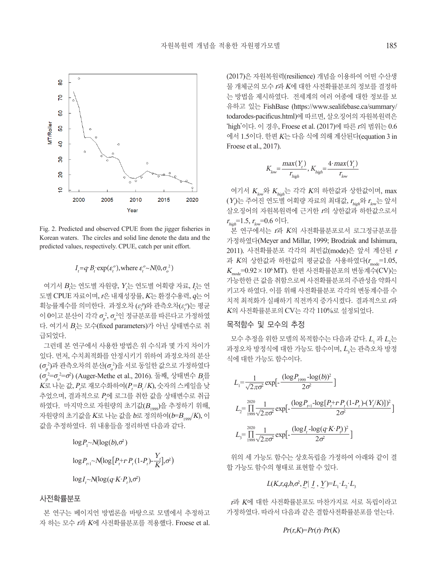

Fig. 2. Predicted and observed CPUE from the jigger fisheries in Korean waters. The circles and solid line denote the data and the predicted values, respectively. CPUE, catch per unit effort.

### $I_t = q \cdot B_t \cdot \exp(\varepsilon_t^o)$ , where  $\varepsilon_t^o \sim N(0, \sigma_o^2)$

여기서  $B_t$ 는 연도별 자원량,  $Y_t$ 는 연도별 어획량 자료,  $I_t$ 는 연 도별 CPUE 자료이며, r은 내재성장률, K는 환경수용력, q는 어 획능률계수를 의미한다. 과정오차 $(\varepsilon_{\!t}^{\rho})$ 와 관측오차( $\varepsilon_{\!t}^{\rho}$ )는 평균 이 0이고 분산이 각각  $\sigma^2_\rho, \sigma^2_e$ 인 정규분포를 따른다고 가정하였 다. 여기서  $B_t^\leftarrow$  모수(fixed parameters)가 아닌 상태변수로 취 급되었다.

그런데 본 연구에서 사용한 방법은 위 수식과 몇 가지 차이가 있다. 먼저, 수치최적화를 안정시키기 위하여 과정오차의 분산  $(\sigma_{\!_\rho}^{\,2})$ 과 관측오차의 분산( $\sigma_{\!_\sigma}^{\,2})$ 을 서로 동일한 값으로 가정하였다  $(\sigma^{\scriptscriptstyle 2=\sigma^{\scriptscriptstyle 2=\sigma^{\scriptscriptstyle 2}}}_{\scriptscriptstyle \rho} )$  (Auger-Methe et al., 2016). 둘째, 상태변수  $B_{\scriptscriptstyle \ell}^{\scriptscriptstyle \pm}$  $K$ 로 나눈 값,  $P_{\mathsf{r}}$ 로 재모수화하여 $(P_{\mathsf{r}}\text{-}B_{\mathsf{r}}/K)$ , 숫자의 스케일을 낮 추었으며, 결과적으로  $P_{\tau}$ 에 로그를 취한 값을 상태변수로 취급 하였다. 마지막으로 자원량의 초기값 $(B_{1999})$ 을 추정하기 위해, 자원량의 초기값을 K로 나눈 값을  $b$ 로 정의하여 $(b=B_{1000}/K)$ , 이 값을 추정하였다. 위 내용들을 정리하면 다음과 같다.

$$
log P_1 \sim N(log(b), \sigma^2)
$$
  
\n
$$
log P_{t+1} \sim N(log[P_t + r P_t (1 - P_t) - \frac{Y_t}{K}], \sigma^2)
$$
  
\n
$$
log I_t \sim N(log(q K \cdot P_t), \sigma^2)
$$

#### 사전확률분포

본 연구는 베이지언 방법론을 바탕으로 모델에서 추정하고 자 하는 모수 <sup>r</sup>과 <sup>K</sup>에 사전확률분포를 적용했다. Froese et al.

(2017)은 자원복원력(resilience) 개념을 이용하여 어떤 수산생 물 개체군의 모수 <sup>r</sup>과 K에 대한 사전확률분포의 정보를 결정하 는 방법을 제시하였다. 전세계의 여러 어종에 대한 정보를 보 유하고 있는 FishBase (https://www.sealifebase.ca/summary/ todarodes-pacificus.html)에 따르면, 살오징어의 자원복원력은 'high'이다. 이 경우, Froese et al. (2017)에 따른 <sup>r</sup>의 범위는 0.6 에서 1.5이다. 한편 <sup>K</sup>는 다음 식에 의해 계산된다(equation 3 in Froese et al., 2017).

$$
K_{low} = \frac{max(Y_t)}{r_{high}}, K_{high} = \frac{4 \cdot max(Y_t)}{r_{low}}
$$

여기서  $K_{low}$ 와  $K_{high}$ 는 각각  $K$ 의 하한값과 상한값이며, max  $(Y_{\nu}$ 는 주어진 연도별 어획량 자료의 최대값,  $r_{_{\textit{high}}}$ 와  $r_{_{\textit{low}}}$ 는 앞서 살오징어의 자원복원력에 근거한 <sup>r</sup>의 상한값과 하한값으로서  $r_{high}$ =1.5,  $r_{low}$ =0.6 이다.

본 연구에서는 r과 K의 사전확률분포로서 로그정규분포를 가정하였다(Meyer and Millar, 1999; Brodziak and Ishimura, 2011). 사전확률분포 각각의 최빈값(mode)은 앞서 계산된 <sup>r</sup> 과 K의 상한값과 하한값의 평균값을 사용하였다 $(r_{\text{mod}}=1.05,$  $K_{\text{mode}}$ =0.92 × 10<sup>6</sup> MT). 한편 사전확률분포의 변동계수(CV)는 가능한한 큰 값을 취함으로써 사전확률분포의 주관성을 약화시 키고자 하였다. 이를 위해 사전확률분포 각각의 변동계수를 수 치적 최적화가 실패하기 직전까지 증가시켰다. 결과적으로 <sup>r</sup>과 <sup>K</sup>의 사전확률분포의 CV는 각각 110%로 설정되었다.

#### 목적함수 및 모수의 추정

모수 추정을 위한 모델의 목적함수는 다음과 같다.  $L_{\!\scriptscriptstyle 1}$  과  $L_{\!\scriptscriptstyle 2}$ 는 과정오차 방정식에 대한 가능도 함수이며,  $L_{\mathfrak{z}}$ 는 관측오차 방정 식에 대한 가능도 함수이다.

$$
L_{1} = \frac{1}{\sqrt{2\pi\sigma^{2}}} \exp\left[-\frac{(\log P_{1999} - \log(b))^{2}}{2\sigma^{2}}\right]
$$
  
\n
$$
L_{2} = \prod_{1999}^{2020} \frac{1}{\sqrt{2\pi\sigma^{2}}} \exp\left[-\frac{(\log P_{t+1} - \log[P_{t} + P_{t}(1-P_{t}) - (Y_{t}/K)])^{2}}{2\sigma^{2}}\right]
$$
  
\n
$$
L_{3} = \prod_{1999}^{2020} \frac{1}{\sqrt{2\pi\sigma^{2}}} \exp\left[-\frac{(\log I_{t} - \log(q_{t} K \cdot P_{t}))^{2}}{2\sigma^{2}}\right]
$$

위의 세 가능도 함수는 상호독립을 가정하여 아래와 같이 결 합 가능도 함수의 형태로 표현할 수 있다.

# $L(K,r,q,b,\sigma^2,P | L, Y)=L_1 \cdot L_2 \cdot L_3$

<sup>r</sup>과 K에 대한 사전확률분포도 마찬가지로 서로 독립이라고 가정하였다. 따라서 다음과 같은 결합사전확률분포를 얻는다.

#### $Pr(r,K)=Pr(r)$ · $Pr(K)$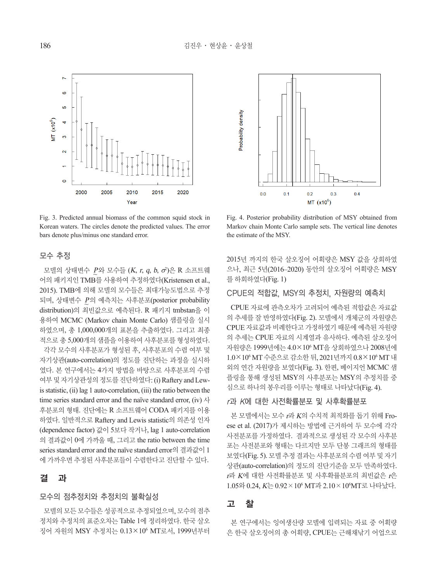

Fig. 3. Predicted annual biomass of the common squid stock in Korean waters. The circles denote the predicted values. The error bars denote plus/minus one standard error.

## 모수 추정

모델의 상태변수 *P*와 모수들 (*K, r, q, b, ơ*)은 R 소프트웨 어의 패키지인 TMB를 사용하여 추정하였다(Kristensen et al., 2015). TMB에 의해 모델의 모수들은 최대가능도법으로 추정 되며, 상태변수 *P*의 예측치는 사후분포(posterior probability) distribution)의 최빈값으로 예측된다. R 패키지 tmbstan을 이 용하여 MCMC (Markov chain Monte Carlo) 샘플링을 실시 하였으며, 총 1,000,000개의 표본을 추출하였다. 그리고 최종 적으로 총 5,000개의 샘플을 이용하여 사후분포를 형성하였다. 각각 모수의 사후분포가 형성된 후, 사후분포의 수렴 여부 및 자기상관(auto-correlation)의 정도를 진단하는 과정을 실시하 였다. 본 연구에서는 4가지 방법을 바탕으로 사후분포의 수렴 여부 및 자기상관성의 정도를 진단하였다: (i) Raftery and Lewis statistic, (ii) lag 1 auto-correlation, (iii) the ratio between the time series standard error and the naïve standard error, (iv)  $\lambda$ 후분포의 형태. 진단에는 R 소프트웨어 CODA 패키지를 이용 하였다. 일반적으로 Raftery and Lewis statistic의 의존성 인자 (dependence factor) 값이 5보다 작거나, lag 1 auto-correlation 의 결과값이 0에 가까울 때, 그리고 the ratio between the time series standard error and the naïve standard error의 결과값이 1 에 가까우면 추정된 사후분포들이 수렴한다고 진단할 수 있다.

# 결 과

### 모수의 점추정치와 추정치의 불확실성

모델의 모든 모수들은 성공적으로 추정되었으며, 모수의 점추 정치와 추정치의 표준오차는 Table 1에 정리하였다. 한국 살오 징어 자원의 MSY 추정치는 0.13×106 MT로서, 1999년부터



Fig. 4. Posterior probability distribution of MSY obtained from Markov chain Monte Carlo sample sets. The vertical line denotes the estimate of the MSY.

2015년 까지의 한국 살오징어 어획량은 MSY 값을 상회하였 으나, 최근 5년(2016–2020) 동안의 살오징어 어획량은 MSY 를 하회하였다(Fig. 1)

### CPUE의 적합값, MSY의 추정치, 자원량의 예측치

CPUE 자료에 관측오차가 고려되어 예측된 적합값은 자료값 의 추세를 잘 반영하였다(Fig. 2). 모델에서 개체군의 자원량은 CPUE 자료값과 비례한다고 가정하였기 때문에 예측된 자원량 의 추세는 CPUE 자료의 시계열과 유사하다. 예측된 살오징어 자원량은 1999년에는 4.0×10º MT을 상회하였으나 2008년에 1.0×106 MT 수준으로 감소한 뒤, 2021년까지 0.8×106 MT 내 외의 연간 자원량을 보였다(Fig. 3). 한편, 베이지언 MCMC 샘 플링을 통해 생성된 MSY의 사후분포는 MSY의 추정치를 중 심으로 하나의 봉우리를 이루는 형태로 나타났다(Fig. 4).

# <sup>r</sup>과 K에 대한 사전확률분포 및 사후확률분포

본 모델에서는 모수 <sup>r</sup>과 <sup>K</sup>의 수치적 최적화를 돕기 위해 Froese et al. (2017)가 제시하는 방법에 근거하여 두 모수에 각각 사전분포를 가정하였다. 결과적으로 생성된 각 모수의 사후분 포는 사전분포와 형태는 다르지만 모두 단봉 그래프의 형태를 보였다(Fig. 5). 모델 추정 결과는 사후분포의 수렴 여부 및 자기 상관(auto-correlation)의 정도의 진단기준을 모두 만족하였다. <sup>r</sup>과 K에 대한 사전확률분포 및 사후확률분포의 최빈값은 <sup>r</sup>은 1.05와 0.24, K는 0.92×106 MT과 2.10×106 MT로 나타났다.

# 고 찰

본 연구에서는 잉여생산량 모델에 입력되는 자료 중 어획량 은 한국 살오징어의 총 어획량, CPUE는 근해채낚기 어업으로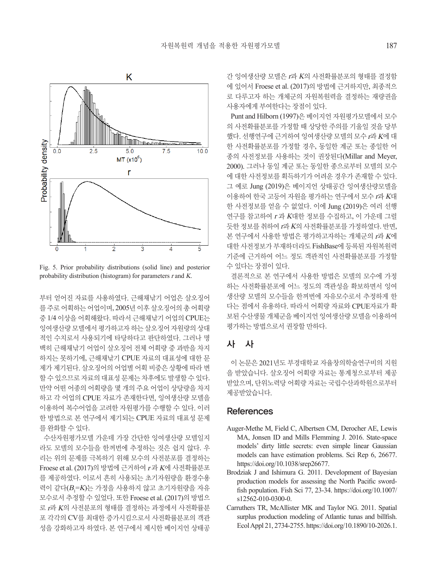

Fig. 5. Prior probability distributions (solid line) and posterior probability distribution (histogram) for parameters r and K.

부터 얻어진 자료를 사용하였다. 근해채낚기 어업은 살오징어 를 주로 어획하는 어업이며, 2005년 이후 살오징어의 총 어획량 중 1/4 이상을 어획해왔다. 따라서 근해채낚기 어업의 CPUE는 잉여생산량 모델에서 평가하고자 하는 살오징어 자원량의 상대 적인 수치로서 사용되기에 타당하다고 판단하였다. 그러나 명 백히 근해채낚기 어업이 살오징어 전체 어획량 중 과반을 차지 하지는 못하기에, 근해채낚기 CPUE 자료의 대표성에 대한 문 제가 제기된다. 살오징어의 어업별 어획 비중은 상황에 따라 변 할 수 있으므로 자료의 대표성 문제는 차후에도 발생할 수 있다. 만약 어떤 어종의 어획량을 몇 개의 주요 어업이 상당량을 차지 하고 각 어업의 CPUE 자료가 존재한다면, 잉여생산량 모델을 이용하여 복수어업을 고려한 자원평가를 수행할 수 있다. 이러 한 방법으로 본 연구에서 제기되는 CPUE 자료의 대표성 문제 를 완화할 수 있다.

수산자원평가모델 가운데 가장 간단한 잉여생산량 모델일지 라도 모델의 모수들을 한꺼번에 추정하는 것은 쉽지 않다. 우 리는 위의 문제를 극복하기 위해 모수의 사전분포를 결정하는 Froese et al. (2017)의 방법에 근거하여 <sup>r</sup> 과 <sup>K</sup>에 사전확률분포 를 제공하였다. 이로서 흔히 사용되는 초기자원량을 환경수용 력이 같다( $B_{\rm l}$ =K)는 가정을 사용하지 않고 초기자원량을 자유 모수로서 추정할 수 있었다. 또한 Froese et al. (2017)의 방법으 로 <sup>r</sup>과 K의 사전분포의 형태를 결정하는 과정에서 사전확률분 포 각각의 CV를 최대한 증가시킴으로서 사전확률분포의 객관 성을 강화하고자 하였다. 본 연구에서 제시한 베이지언 상태공

간 잉여생산량 모델은 <sup>r</sup>과 K의 사전확률분포의 형태를 결정함 에 있어서 Froese et al. (2017)의 방법에 근거하지만, 최종적으 로 다루고자 하는 개체군의 자원복원력을 결정하는 재량권을 사용자에게 부여한다는 장점이 있다.

Punt and Hilborn (1997)은 베이지언 자원평가모델에서 모수 의 사전확률분포를 가정할 때 상당한 주의를 기울일 것을 당부 했다. 선행연구에 근거하여 잉여생산량 모델의 모수 r과 K에 대 한 사전확률분포를 가정할 경우, 동일한 계군 또는 종일한 어 종의 사전정보를 사용하는 것이 권장된다(Millar and Meyer, 2000). 그러나 동일 계군 또는 동일한 종으로부터 모델의 모수 에 대한 사전정보를 획득하기가 어려운 경우가 존재할 수 있다. 그 예로 Jung (2019)은 베이지언 상태공간 잉여생산량모델을 이용하여 한국 고등어 자원을 평가하는 연구에서 모수 <sup>r</sup>과 K대 한 사전정보를 얻을 수 없었다. 이에 Jung (2019)은 여러 선행 연구를 참고하여 <sup>r</sup> 과 <sup>K</sup>대한 정보를 수집하고, 이 가운데 그럴 듯한 정보를 취하여 <sup>r</sup>과 <sup>K</sup>의 사전확률분포를 가정하였다. 반면, 본 연구에서 사용한 방법은 평가하고자하는 개체군의 r과 K에 대한 사전정보가 부재하더라도 FishBase에 등록된 자원복원력 기준에 근거하여 어느 정도 객관적인 사전확률분포를 가정할 수 있다는 장점이 있다.

결론적으로 본 연구에서 사용한 방법은 모델의 모수에 가정 하는 사전확률분포에 어느 정도의 객관성을 확보하면서 잉여 생산량 모델의 모수들을 한꺼번에 자유모수로서 추정하게 한 다는 점에서 유용하다. 따라서 어획량 자료와 CPUE자료가 확 보된 수산생물 개체군을 베이지언 잉여생산량 모델을 이용하여 평가하는 방법으로서 권장할 만하다.

# 사 사

이 논문은 2021년도 부경대학교 자율창의학술연구비의 지원 을 받았습니다. 살오징어 어획량 자료는 통계청으로부터 제공 받았으며, 단위노력당 어획량 자료는 국립수산과학원으로부터 제공받았습니다.

# **References**

- Auger-Methe M, Field C, Albertsen CM, Derocher AE, Lewis MA, Jonsen ID and Mills Flemming J. 2016. State-space models' dirty little secrets: even simple linear Gaussian models can have estimation problems. Sci Rep 6, 26677. https://doi.org/10.1038/srep26677.
- Brodziak J and Ishimura G. 2011. Development of Bayesian production models for assessing the North Pacific swordfish population. Fish Sci 77, 23-34. https://doi.org/10.1007/ s12562-010-0300-0.
- Carruthers TR, McAllister MK and Taylor NG. 2011. Spatial surplus production modeling of Atlantic tunas and billfish. Ecol Appl 21, 2734-2755. https://doi.org/10.1890/10-2026.1.